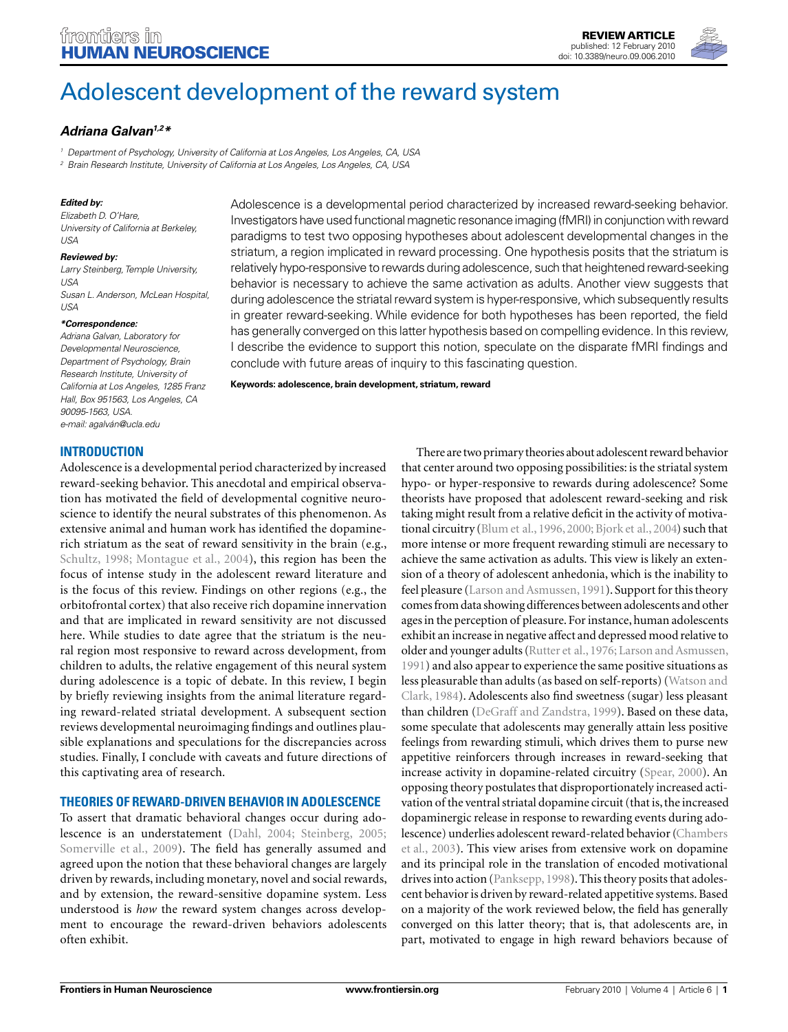REVIEW ARTICLE published: 12 February 2010 doi: 10.3389/neuro.09.006.2010



# Adolescent development of the reward system

# **Adriana Galvan1,2\***

1 Department of Psychology, University of California at Los Angeles, Los Angeles, CA, USA

2 Brain Research Institute, University of California at Los Angeles, Los Angeles, CA, USA

#### **Edited by:**

Elizabeth D. O'Hare, University of California at Berkeley, USA

#### **Reviewed by:**

Larry Steinberg, Temple University, USA Susan L. Anderson, McLean Hospital,  $1ISA$ 

#### **\*Correspondence:**

Adriana Galvan, Laboratory for Developmental Neuroscience, Department of Psychology, Brain Research Institute, University of California at Los Angeles, 1285 Franz Hall, Box 951563, Los Angeles, CA 90095-1563, USA. e-mail: agalván@ucla.edu

# **INTRODUCTION**

Adolescence is a developmental period characterized by increased reward-seeking behavior. This anecdotal and empirical observation has motivated the field of developmental cognitive neuroscience to identify the neural substrates of this phenomenon. As extensive animal and human work has identified the dopaminerich striatum as the seat of reward sensitivity in the brain (e.g., Schultz, 1998; Montague et al., 2004), this region has been the focus of intense study in the adolescent reward literature and is the focus of this review. Findings on other regions (e.g., the orbitofrontal cortex) that also receive rich dopamine innervation and that are implicated in reward sensitivity are not discussed here. While studies to date agree that the striatum is the neural region most responsive to reward across development, from children to adults, the relative engagement of this neural system during adolescence is a topic of debate. In this review, I begin by briefly reviewing insights from the animal literature regarding reward-related striatal development. A subsequent section reviews developmental neuroimaging findings and outlines plausible explanations and speculations for the discrepancies across studies. Finally, I conclude with caveats and future directions of this captivating area of research.

# **THEORIES OF REWARD-DRIVEN BEHAVIOR IN ADOLESCENCE**

To assert that dramatic behavioral changes occur during adolescence is an understatement (Dahl, 2004; Steinberg, 2005; Somerville et al., 2009). The field has generally assumed and agreed upon the notion that these behavioral changes are largely driven by rewards, including monetary, novel and social rewards, and by extension, the reward-sensitive dopamine system. Less understood is *how* the reward system changes across development to encourage the reward-driven behaviors adolescents often exhibit.

Adolescence is a developmental period characterized by increased reward-seeking behavior. Investigators have used functional magnetic resonance imaging (fMRI) in conjunction with reward paradigms to test two opposing hypotheses about adolescent developmental changes in the striatum, a region implicated in reward processing. One hypothesis posits that the striatum is relatively hypo-responsive to rewards during adolescence, such that heightened reward-seeking behavior is necessary to achieve the same activation as adults. Another view suggests that during adolescence the striatal reward system is hyper-responsive, which subsequently results in greater reward-seeking. While evidence for both hypotheses has been reported, the field has generally converged on this latter hypothesis based on compelling evidence. In this review, I describe the evidence to support this notion, speculate on the disparate fMRI findings and conclude with future areas of inquiry to this fascinating question.

**Keywords: adolescence, brain development, striatum, reward**

There are two primary theories about adolescent reward behavior that center around two opposing possibilities: is the striatal system hypo- or hyper-responsive to rewards during adolescence? Some theorists have proposed that adolescent reward-seeking and risk taking might result from a relative deficit in the activity of motivational circuitry (Blum et al., 1996, 2000; Bjork et al., 2004) such that more intense or more frequent rewarding stimuli are necessary to achieve the same activation as adults. This view is likely an extension of a theory of adolescent anhedonia, which is the inability to feel pleasure (Larson and Asmussen, 1991). Support for this theory comes from data showing differences between adolescents and other ages in the perception of pleasure. For instance, human adolescents exhibit an increase in negative affect and depressed mood relative to older and younger adults (Rutter et al., 1976; Larson and Asmussen, 1991) and also appear to experience the same positive situations as less pleasurable than adults (as based on self-reports) (Watson and Clark, 1984). Adolescents also find sweetness (sugar) less pleasant than children (DeGraff and Zandstra, 1999). Based on these data, some speculate that adolescents may generally attain less positive feelings from rewarding stimuli, which drives them to purse new appetitive reinforcers through increases in reward-seeking that increase activity in dopamine-related circuitry (Spear, 2000). An opposing theory postulates that disproportionately increased activation of the ventral striatal dopamine circuit (that is, the increased dopaminergic release in response to rewarding events during adolescence) underlies adolescent reward-related behavior (Chambers et al., 2003). This view arises from extensive work on dopamine and its principal role in the translation of encoded motivational drives into action (Panksepp, 1998). This theory posits that adolescent behavior is driven by reward-related appetitive systems. Based on a majority of the work reviewed below, the field has generally converged on this latter theory; that is, that adolescents are, in part, motivated to engage in high reward behaviors because of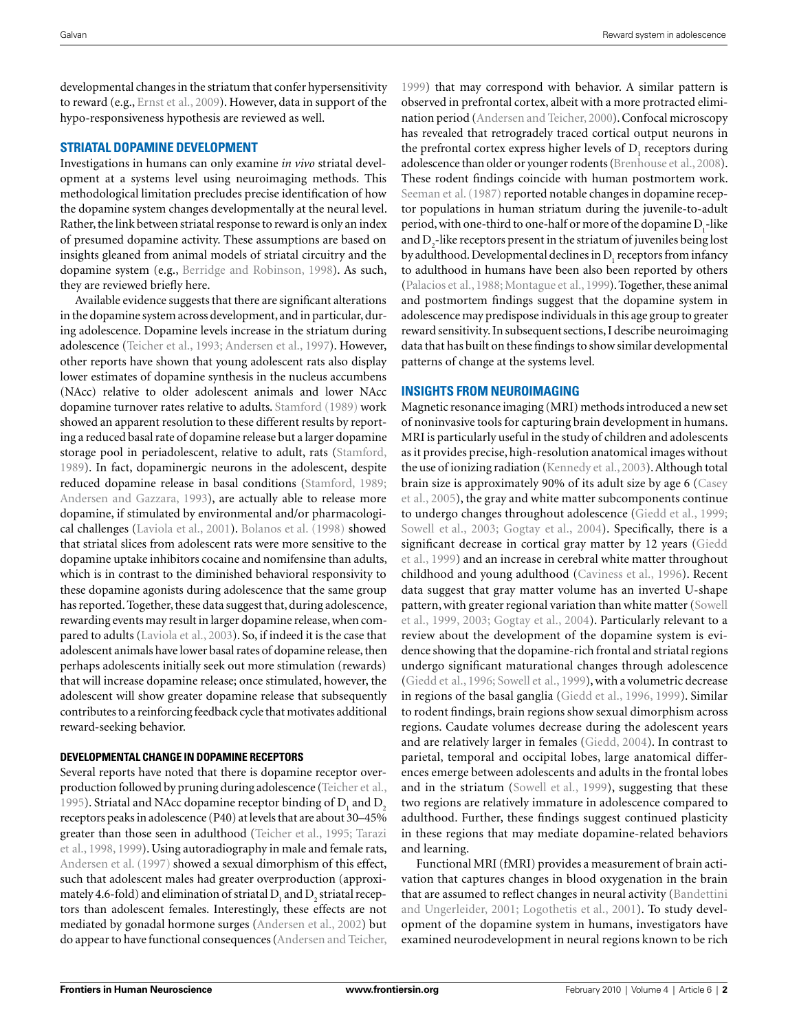developmental changes in the striatum that confer hypersensitivity to reward (e.g., Ernst et al., 2009). However, data in support of the hypo-responsiveness hypothesis are reviewed as well.

# **STRIATAL DOPAMINE DEVELOPMENT**

Investigations in humans can only examine *in vivo* striatal development at a systems level using neuroimaging methods. This methodological limitation precludes precise identification of how the dopamine system changes developmentally at the neural level. Rather, the link between striatal response to reward is only an index of presumed dopamine activity. These assumptions are based on insights gleaned from animal models of striatal circuitry and the dopamine system (e.g., Berridge and Robinson, 1998). As such, they are reviewed briefly here.

Available evidence suggests that there are significant alterations in the dopamine system across development, and in particular, during adolescence. Dopamine levels increase in the striatum during adolescence (Teicher et al., 1993; Andersen et al., 1997). However, other reports have shown that young adolescent rats also display lower estimates of dopamine synthesis in the nucleus accumbens (NAcc) relative to older adolescent animals and lower NAcc dopamine turnover rates relative to adults. Stamford (1989) work showed an apparent resolution to these different results by reporting a reduced basal rate of dopamine release but a larger dopamine storage pool in periadolescent, relative to adult, rats (Stamford, 1989). In fact, dopaminergic neurons in the adolescent, despite reduced dopamine release in basal conditions (Stamford, 1989; Andersen and Gazzara, 1993), are actually able to release more dopamine, if stimulated by environmental and/or pharmacological challenges (Laviola et al., 2001). Bolanos et al. (1998) showed that striatal slices from adolescent rats were more sensitive to the dopamine uptake inhibitors cocaine and nomifensine than adults, which is in contrast to the diminished behavioral responsivity to these dopamine agonists during adolescence that the same group has reported. Together, these data suggest that, during adolescence, rewarding events may result in larger dopamine release, when compared to adults (Laviola et al., 2003). So, if indeed it is the case that adolescent animals have lower basal rates of dopamine release, then perhaps adolescents initially seek out more stimulation (rewards) that will increase dopamine release; once stimulated, however, the adolescent will show greater dopamine release that subsequently contributes to a reinforcing feedback cycle that motivates additional reward-seeking behavior.

# **DEVELOPMENTAL CHANGE IN DOPAMINE RECEPTORS**

Several reports have noted that there is dopamine receptor overproduction followed by pruning during adolescence (Teicher et al., 1995). Striatal and NAcc dopamine receptor binding of  $D_1$  and  $D_2$ receptors peaks in adolescence (P40) at levels that are about 30–45% greater than those seen in adulthood (Teicher et al., 1995; Tarazi et al., 1998, 1999). Using autoradiography in male and female rats, Andersen et al. (1997) showed a sexual dimorphism of this effect, such that adolescent males had greater overproduction (approximately 4.6-fold) and elimination of striatal  $\mathrm{D}_\mathrm{l}$  and  $\mathrm{D}_\mathrm{2}$  striatal receptors than adolescent females. Interestingly, these effects are not mediated by gonadal hormone surges (Andersen et al., 2002) but do appear to have functional consequences (Andersen and Teicher,

1999) that may correspond with behavior. A similar pattern is observed in prefrontal cortex, albeit with a more protracted elimination period (Andersen and Teicher, 2000). Confocal microscopy has revealed that retrogradely traced cortical output neurons in the prefrontal cortex express higher levels of  $D<sub>1</sub>$  receptors during adolescence than older or younger rodents (Brenhouse et al., 2008). These rodent findings coincide with human postmortem work. Seeman et al. (1987) reported notable changes in dopamine receptor populations in human striatum during the juvenile-to-adult period, with one-third to one-half or more of the dopamine  $D_1$ -like and  $D_2$ -like receptors present in the striatum of juveniles being lost by adulthood. Developmental declines in  $D_{1}$  receptors from infancy to adulthood in humans have been also been reported by others (Palacios et al., 1988; Montague et al., 1999). Together, these animal and postmortem findings suggest that the dopamine system in adolescence may predispose individuals in this age group to greater reward sensitivity. In subsequent sections, I describe neuroimaging data that has built on these findings to show similar developmental patterns of change at the systems level.

# **INSIGHTS FROM NEUROIMAGING**

Magnetic resonance imaging (MRI) methods introduced a new set of noninvasive tools for capturing brain development in humans. MRI is particularly useful in the study of children and adolescents as it provides precise, high-resolution anatomical images without the use of ionizing radiation (Kennedy et al., 2003). Although total brain size is approximately 90% of its adult size by age 6 (Casey et al., 2005), the gray and white matter subcomponents continue to undergo changes throughout adolescence (Giedd et al., 1999; Sowell et al., 2003; Gogtay et al., 2004). Specifically, there is a significant decrease in cortical gray matter by 12 years (Giedd et al., 1999) and an increase in cerebral white matter throughout childhood and young adulthood (Caviness et al., 1996). Recent data suggest that gray matter volume has an inverted U-shape pattern, with greater regional variation than white matter (Sowell et al., 1999, 2003; Gogtay et al., 2004). Particularly relevant to a review about the development of the dopamine system is evidence showing that the dopamine-rich frontal and striatal regions undergo significant maturational changes through adolescence (Giedd et al., 1996; Sowell et al., 1999), with a volumetric decrease in regions of the basal ganglia (Giedd et al., 1996, 1999). Similar to rodent findings, brain regions show sexual dimorphism across regions. Caudate volumes decrease during the adolescent years and are relatively larger in females (Giedd, 2004). In contrast to parietal, temporal and occipital lobes, large anatomical differences emerge between adolescents and adults in the frontal lobes and in the striatum (Sowell et al., 1999), suggesting that these two regions are relatively immature in adolescence compared to adulthood. Further, these findings suggest continued plasticity in these regions that may mediate dopamine-related behaviors and learning.

Functional MRI (fMRI) provides a measurement of brain activation that captures changes in blood oxygenation in the brain that are assumed to reflect changes in neural activity (Bandettini and Ungerleider, 2001; Logothetis et al., 2001). To study development of the dopamine system in humans, investigators have examined neurodevelopment in neural regions known to be rich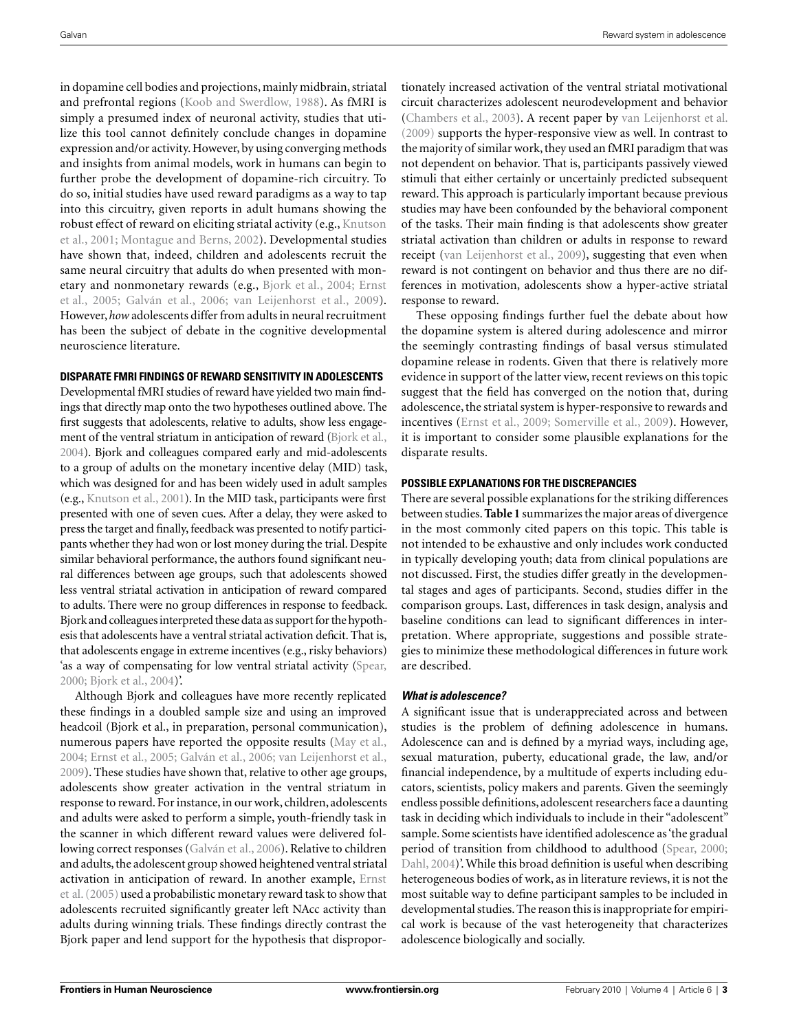in dopamine cell bodies and projections, mainly midbrain, striatal and prefrontal regions (Koob and Swerdlow, 1988). As fMRI is simply a presumed index of neuronal activity, studies that utilize this tool cannot definitely conclude changes in dopamine expression and/or activity. However, by using converging methods and insights from animal models, work in humans can begin to further probe the development of dopamine-rich circuitry. To do so, initial studies have used reward paradigms as a way to tap into this circuitry, given reports in adult humans showing the robust effect of reward on eliciting striatal activity (e.g., Knutson et al., 2001; Montague and Berns, 2002). Developmental studies have shown that, indeed, children and adolescents recruit the same neural circuitry that adults do when presented with monetary and nonmonetary rewards (e.g., Bjork et al., 2004; Ernst et al., 2005; Galván et al., 2006; van Leijenhorst et al., 2009). However, *how* adolescents differ from adults in neural recruitment has been the subject of debate in the cognitive developmental neuroscience literature.

# **DISPARATE FMRI FINDINGS OF REWARD SENSITIVITY IN ADOLESCENTS**

Developmental fMRI studies of reward have yielded two main findings that directly map onto the two hypotheses outlined above. The first suggests that adolescents, relative to adults, show less engagement of the ventral striatum in anticipation of reward (Bjork et al., 2004). Bjork and colleagues compared early and mid-adolescents to a group of adults on the monetary incentive delay (MID) task, which was designed for and has been widely used in adult samples  $(e.g.,$  Knutson et al., 2001). In the MID task, participants were first presented with one of seven cues. After a delay, they were asked to press the target and finally, feedback was presented to notify participants whether they had won or lost money during the trial. Despite similar behavioral performance, the authors found significant neural differences between age groups, such that adolescents showed less ventral striatal activation in anticipation of reward compared to adults. There were no group differences in response to feedback. Bjork and colleagues interpreted these data as support for the hypothesis that adolescents have a ventral striatal activation deficit. That is, that adolescents engage in extreme incentives (e.g., risky behaviors) 'as a way of compensating for low ventral striatal activity (Spear, 2000; Bjork et al., 2004)'.

Although Bjork and colleagues have more recently replicated these findings in a doubled sample size and using an improved headcoil (Bjork et al., in preparation, personal communication), numerous papers have reported the opposite results (May et al., 2004; Ernst et al., 2005; Galván et al., 2006; van Leijenhorst et al., 2009). These studies have shown that, relative to other age groups, adolescents show greater activation in the ventral striatum in response to reward. For instance, in our work, children, adolescents and adults were asked to perform a simple, youth-friendly task in the scanner in which different reward values were delivered following correct responses (Galván et al., 2006). Relative to children and adults, the adolescent group showed heightened ventral striatal activation in anticipation of reward. In another example, Ernst et al. (2005) used a probabilistic monetary reward task to show that adolescents recruited significantly greater left NAcc activity than adults during winning trials. These findings directly contrast the Bjork paper and lend support for the hypothesis that disproportionately increased activation of the ventral striatal motivational circuit characterizes adolescent neurodevelopment and behavior (Chambers et al., 2003). A recent paper by van Leijenhorst et al. (2009) supports the hyper-responsive view as well. In contrast to the majority of similar work, they used an fMRI paradigm that was not dependent on behavior. That is, participants passively viewed stimuli that either certainly or uncertainly predicted subsequent reward. This approach is particularly important because previous studies may have been confounded by the behavioral component of the tasks. Their main finding is that adolescents show greater striatal activation than children or adults in response to reward receipt (van Leijenhorst et al., 2009), suggesting that even when reward is not contingent on behavior and thus there are no differences in motivation, adolescents show a hyper-active striatal response to reward.

These opposing findings further fuel the debate about how the dopamine system is altered during adolescence and mirror the seemingly contrasting findings of basal versus stimulated dopamine release in rodents. Given that there is relatively more evidence in support of the latter view, recent reviews on this topic suggest that the field has converged on the notion that, during adolescence, the striatal system is hyper-responsive to rewards and incentives (Ernst et al., 2009; Somerville et al., 2009). However, it is important to consider some plausible explanations for the disparate results.

## **POSSIBLE EXPLANATIONS FOR THE DISCREPANCIES**

There are several possible explanations for the striking differences between studies. **Table 1** summarizes the major areas of divergence in the most commonly cited papers on this topic. This table is not intended to be exhaustive and only includes work conducted in typically developing youth; data from clinical populations are not discussed. First, the studies differ greatly in the developmental stages and ages of participants. Second, studies differ in the comparison groups. Last, differences in task design, analysis and baseline conditions can lead to significant differences in interpretation. Where appropriate, suggestions and possible strategies to minimize these methodological differences in future work are described.

#### **What is adolescence?**

A significant issue that is underappreciated across and between studies is the problem of defining adolescence in humans. Adolescence can and is defined by a myriad ways, including age, sexual maturation, puberty, educational grade, the law, and/or financial independence, by a multitude of experts including educators, scientists, policy makers and parents. Given the seemingly endless possible definitions, adolescent researchers face a daunting task in deciding which individuals to include in their "adolescent" sample. Some scientists have identified adolescence as 'the gradual period of transition from childhood to adulthood (Spear, 2000; Dahl, 2004)'. While this broad definition is useful when describing heterogeneous bodies of work, as in literature reviews, it is not the most suitable way to define participant samples to be included in developmental studies. The reason this is inappropriate for empirical work is because of the vast heterogeneity that characterizes adolescence biologically and socially.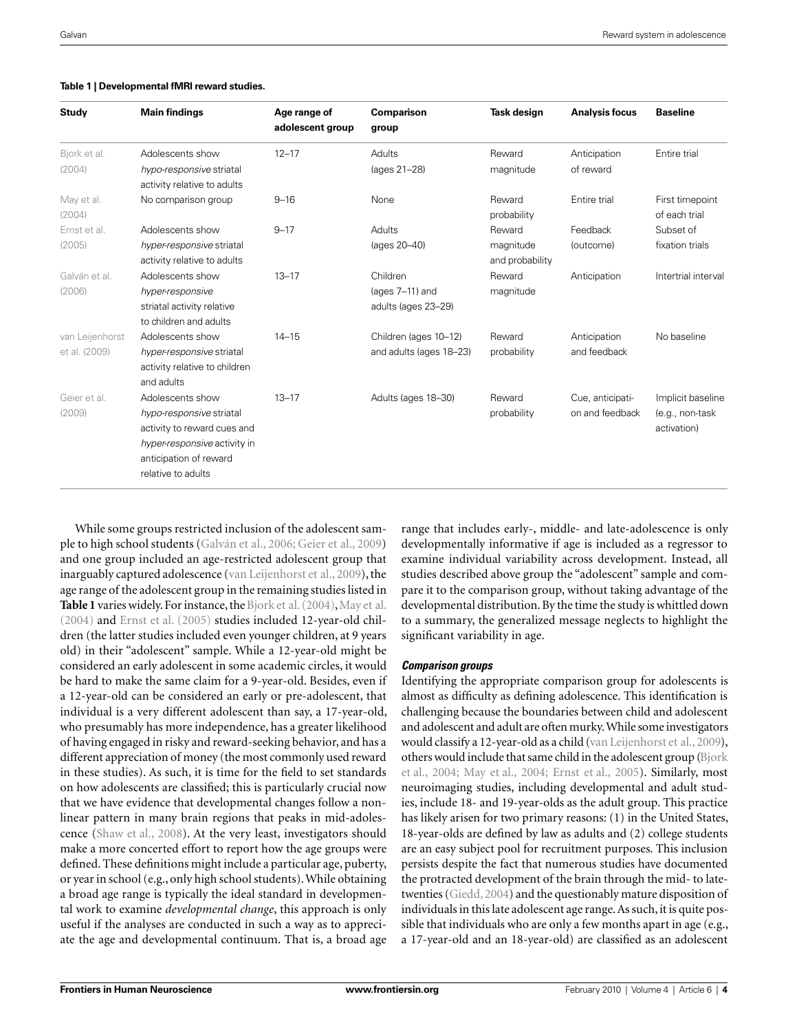| Study                            | <b>Main findings</b>                                                                                                                                        | Age range of<br>adolescent group | Comparison<br>group                                   | Task design                            | <b>Analysis focus</b>               | <b>Baseline</b>                                     |
|----------------------------------|-------------------------------------------------------------------------------------------------------------------------------------------------------------|----------------------------------|-------------------------------------------------------|----------------------------------------|-------------------------------------|-----------------------------------------------------|
| Bjork et al.<br>(2004)           | Adolescents show<br>hypo-responsive striatal<br>activity relative to adults                                                                                 | $12 - 17$                        | Adults<br>(ages 21-28)                                | Reward<br>magnitude                    | Anticipation<br>of reward           | Entire trial                                        |
| May et al.<br>(2004)             | No comparison group                                                                                                                                         | $9 - 16$                         | None                                                  | Reward<br>probability                  | Entire trial                        | First timepoint<br>of each trial                    |
| Ernst et al.<br>(2005)           | Adolescents show<br>hyper-responsive striatal<br>activity relative to adults                                                                                | $9 - 17$                         | Adults<br>(ages 20-40)                                | Reward<br>magnitude<br>and probability | Feedback<br>(outcome)               | Subset of<br>fixation trials                        |
| Galván et al.<br>(2006)          | Adolescents show<br>hyper-responsive<br>striatal activity relative<br>to children and adults                                                                | $13 - 17$                        | Children<br>(ages $7-11$ ) and<br>adults (ages 23-29) | Reward<br>magnitude                    | Anticipation                        | Intertrial interval                                 |
| van Leijenhorst<br>et al. (2009) | Adolescents show<br>hyper-responsive striatal<br>activity relative to children<br>and adults                                                                | $14 - 15$                        | Children (ages 10-12)<br>and adults (ages 18-23)      | Reward<br>probability                  | Anticipation<br>and feedback        | No baseline                                         |
| Geier et al.<br>(2009)           | Adolescents show<br>hypo-responsive striatal<br>activity to reward cues and<br>hyper-responsive activity in<br>anticipation of reward<br>relative to adults | $13 - 17$                        | Adults (ages 18-30)                                   | Reward<br>probability                  | Cue, anticipati-<br>on and feedback | Implicit baseline<br>(e.g., non-task<br>activation) |

#### **Table 1 | Developmental fMRI reward studies.**

While some groups restricted inclusion of the adolescent sample to high school students (Galván et al., 2006; Geier et al., 2009) and one group included an age-restricted adolescent group that inarguably captured adolescence (van Leijenhorst et al., 2009), the age range of the adolescent group in the remaining studies listed in **Table 1** varies widely. For instance, the Bjork et al. (2004), May et al. (2004) and Ernst et al. (2005) studies included 12-year-old children (the latter studies included even younger children, at 9 years old) in their "adolescent" sample. While a 12-year-old might be considered an early adolescent in some academic circles, it would be hard to make the same claim for a 9-year-old. Besides, even if a 12-year-old can be considered an early or pre-adolescent, that individual is a very different adolescent than say, a 17-year-old, who presumably has more independence, has a greater likelihood of having engaged in risky and reward-seeking behavior, and has a different appreciation of money (the most commonly used reward in these studies). As such, it is time for the field to set standards on how adolescents are classified; this is particularly crucial now that we have evidence that developmental changes follow a nonlinear pattern in many brain regions that peaks in mid-adolescence (Shaw et al., 2008). At the very least, investigators should make a more concerted effort to report how the age groups were defined. These definitions might include a particular age, puberty, or year in school (e.g., only high school students). While obtaining a broad age range is typically the ideal standard in developmental work to examine *developmental change*, this approach is only useful if the analyses are conducted in such a way as to appreciate the age and developmental continuum. That is, a broad age

range that includes early-, middle- and late- adolescence is only developmentally informative if age is included as a regressor to examine individual variability across development. Instead, all studies described above group the "adolescent" sample and compare it to the comparison group, without taking advantage of the developmental distribution. By the time the study is whittled down to a summary, the generalized message neglects to highlight the significant variability in age.

#### **Comparison groups**

Identifying the appropriate comparison group for adolescents is almost as difficulty as defining adolescence. This identification is challenging because the boundaries between child and adolescent and adolescent and adult are often murky. While some investigators would classify a 12-year-old as a child (van Leijenhorst et al., 2009), others would include that same child in the adolescent group (Bjork et al., 2004; May et al., 2004; Ernst et al., 2005). Similarly, most neuroimaging studies, including developmental and adult studies, include 18- and 19-year-olds as the adult group. This practice has likely arisen for two primary reasons: (1) in the United States, 18-year-olds are defined by law as adults and (2) college students are an easy subject pool for recruitment purposes. This inclusion persists despite the fact that numerous studies have documented the protracted development of the brain through the mid- to latetwenties (Giedd, 2004) and the questionably mature disposition of individuals in this late adolescent age range. As such, it is quite possible that individuals who are only a few months apart in age (e.g., a 17-year-old and an 18-year-old) are classified as an adolescent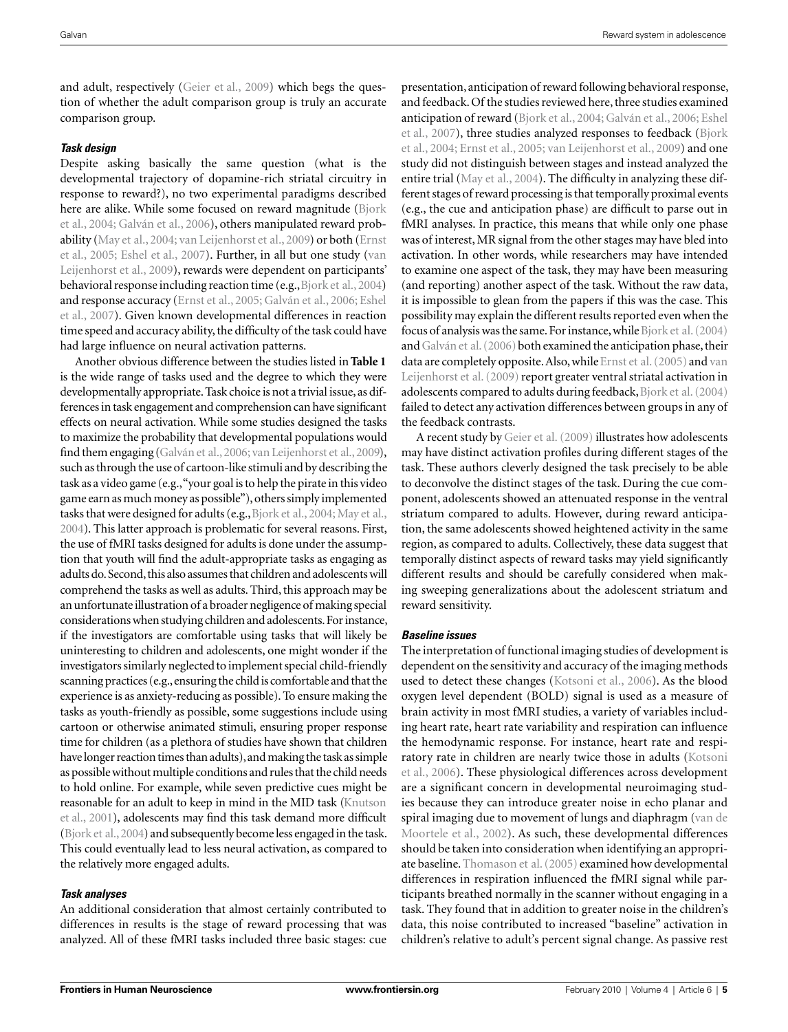and adult, respectively (Geier et al., 2009) which begs the question of whether the adult comparison group is truly an accurate comparison group.

# **Task design**

Despite asking basically the same question (what is the developmental trajectory of dopamine-rich striatal circuitry in response to reward?), no two experimental paradigms described here are alike. While some focused on reward magnitude (Bjork et al., 2004; Galván et al., 2006), others manipulated reward probability (May et al., 2004; van Leijenhorst et al., 2009) or both (Ernst et al., 2005; Eshel et al., 2007). Further, in all but one study (van Leijenhorst et al., 2009), rewards were dependent on participants' behavioral response including reaction time (e.g., Bjork et al., 2004) and response accuracy (Ernst et al., 2005; Galván et al., 2006; Eshel et al., 2007). Given known developmental differences in reaction time speed and accuracy ability, the difficulty of the task could have had large influence on neural activation patterns.

Another obvious difference between the studies listed in **Table 1** is the wide range of tasks used and the degree to which they were developmentally appropriate. Task choice is not a trivial issue, as differences in task engagement and comprehension can have significant effects on neural activation. While some studies designed the tasks to maximize the probability that developmental populations would find them engaging (Galván et al., 2006; van Leijenhorst et al., 2009), such as through the use of cartoon-like stimuli and by describing the task as a video game (e.g., "your goal is to help the pirate in this video game earn as much money as possible"), others simply implemented tasks that were designed for adults (e.g., Bjork et al., 2004; May et al., 2004). This latter approach is problematic for several reasons. First, the use of fMRI tasks designed for adults is done under the assumption that youth will find the adult-appropriate tasks as engaging as adults do. Second, this also assumes that children and adolescents will comprehend the tasks as well as adults. Third, this approach may be an unfortunate illustration of a broader negligence of making special considerations when studying children and adolescents. For instance, if the investigators are comfortable using tasks that will likely be uninteresting to children and adolescents, one might wonder if the investigators similarly neglected to implement special child-friendly scanning practices (e.g., ensuring the child is comfortable and that the experience is as anxiety-reducing as possible). To ensure making the tasks as youth-friendly as possible, some suggestions include using cartoon or otherwise animated stimuli, ensuring proper response time for children (as a plethora of studies have shown that children have longer reaction times than adults), and making the task as simple as possible without multiple conditions and rules that the child needs to hold online. For example, while seven predictive cues might be reasonable for an adult to keep in mind in the MID task (Knutson et al., 2001), adolescents may find this task demand more difficult (Bjork et al., 2004) and subsequently become less engaged in the task. This could eventually lead to less neural activation, as compared to the relatively more engaged adults.

## **Task analyses**

An additional consideration that almost certainly contributed to differences in results is the stage of reward processing that was analyzed. All of these fMRI tasks included three basic stages: cue

presentation, anticipation of reward following behavioral response, and feedback. Of the studies reviewed here, three studies examined anticipation of reward (Bjork et al., 2004; Galván et al., 2006; Eshel et al., 2007), three studies analyzed responses to feedback (Bjork et al., 2004; Ernst et al., 2005; van Leijenhorst et al., 2009) and one study did not distinguish between stages and instead analyzed the entire trial (May et al., 2004). The difficulty in analyzing these different stages of reward processing is that temporally proximal events (e.g., the cue and anticipation phase) are difficult to parse out in fMRI analyses. In practice, this means that while only one phase was of interest, MR signal from the other stages may have bled into activation. In other words, while researchers may have intended to examine one aspect of the task, they may have been measuring (and reporting) another aspect of the task. Without the raw data, it is impossible to glean from the papers if this was the case. This possibility may explain the different results reported even when the focus of analysis was the same. For instance, while Bjork et al. (2004) and Galván et al. (2006) both examined the anticipation phase, their data are completely opposite. Also, while Ernst et al. (2005) and van Leijenhorst et al. (2009) report greater ventral striatal activation in adolescents compared to adults during feedback, Bjork et al. (2004) failed to detect any activation differences between groups in any of the feedback contrasts.

A recent study by Geier et al. (2009) illustrates how adolescents may have distinct activation profiles during different stages of the task. These authors cleverly designed the task precisely to be able to deconvolve the distinct stages of the task. During the cue component, adolescents showed an attenuated response in the ventral striatum compared to adults. However, during reward anticipation, the same adolescents showed heightened activity in the same region, as compared to adults. Collectively, these data suggest that temporally distinct aspects of reward tasks may yield significantly different results and should be carefully considered when making sweeping generalizations about the adolescent striatum and reward sensitivity.

## **Baseline issues**

The interpretation of functional imaging studies of development is dependent on the sensitivity and accuracy of the imaging methods used to detect these changes (Kotsoni et al., 2006). As the blood oxygen level dependent (BOLD) signal is used as a measure of brain activity in most fMRI studies, a variety of variables including heart rate, heart rate variability and respiration can influence the hemodynamic response. For instance, heart rate and respiratory rate in children are nearly twice those in adults (Kotsoni et al., 2006). These physiological differences across development are a significant concern in developmental neuroimaging studies because they can introduce greater noise in echo planar and spiral imaging due to movement of lungs and diaphragm (van de Moortele et al., 2002). As such, these developmental differences should be taken into consideration when identifying an appropriate baseline. Thomason et al. (2005) examined how developmental differences in respiration influenced the fMRI signal while participants breathed normally in the scanner without engaging in a task. They found that in addition to greater noise in the children's data, this noise contributed to increased "baseline" activation in children's relative to adult's percent signal change. As passive rest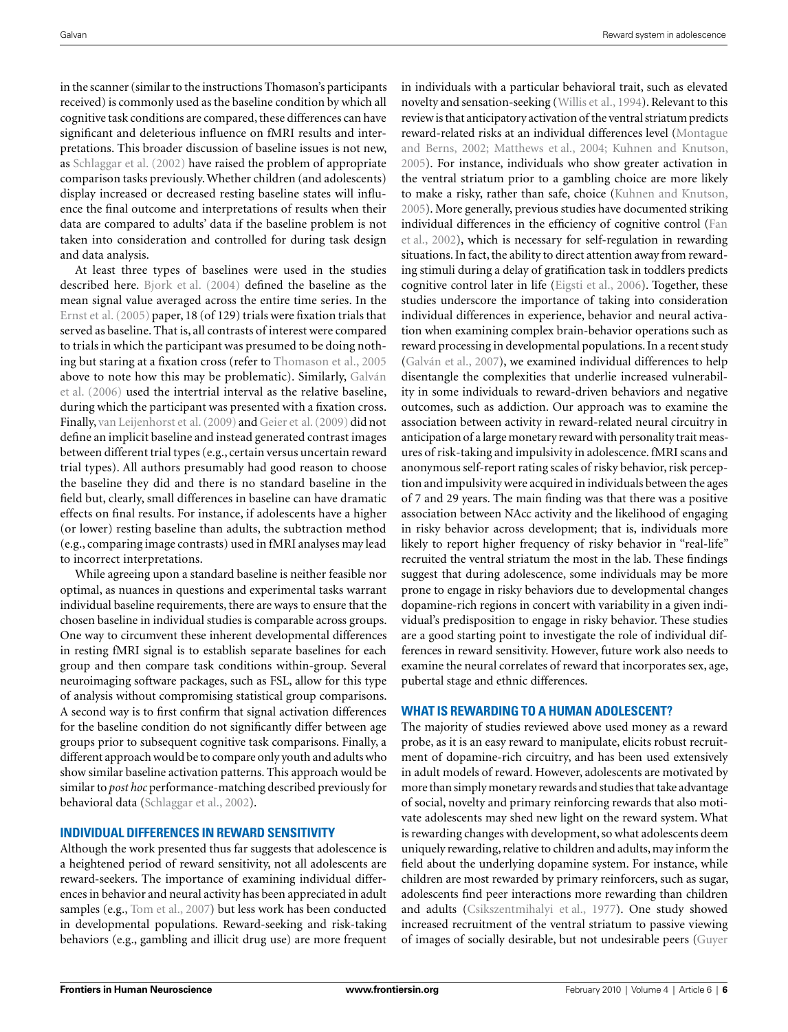in the scanner (similar to the instructions Thomason's participants received) is commonly used as the baseline condition by which all cognitive task conditions are compared, these differences can have significant and deleterious influence on fMRI results and interpretations. This broader discussion of baseline issues is not new, as Schlaggar et al. (2002) have raised the problem of appropriate comparison tasks previously. Whether children (and adolescents) display increased or decreased resting baseline states will influence the final outcome and interpretations of results when their data are compared to adults' data if the baseline problem is not taken into consideration and controlled for during task design and data analysis.

At least three types of baselines were used in the studies described here. Bjork et al. (2004) defined the baseline as the mean signal value averaged across the entire time series. In the Ernst et al. (2005) paper, 18 (of 129) trials were fixation trials that served as baseline. That is, all contrasts of interest were compared to trials in which the participant was presumed to be doing nothing but staring at a fixation cross (refer to Thomason et al., 2005 above to note how this may be problematic). Similarly, Galván et al. (2006) used the intertrial interval as the relative baseline, during which the participant was presented with a fixation cross. Finally, van Leijenhorst et al. (2009) and Geier et al. (2009) did not define an implicit baseline and instead generated contrast images between different trial types (e.g., certain versus uncertain reward trial types). All authors presumably had good reason to choose the baseline they did and there is no standard baseline in the field but, clearly, small differences in baseline can have dramatic effects on final results. For instance, if adolescents have a higher (or lower) resting baseline than adults, the subtraction method (e.g., comparing image contrasts) used in fMRI analyses may lead to incorrect interpretations.

While agreeing upon a standard baseline is neither feasible nor optimal, as nuances in questions and experimental tasks warrant individual baseline requirements, there are ways to ensure that the chosen baseline in individual studies is comparable across groups. One way to circumvent these inherent developmental differences in resting fMRI signal is to establish separate baselines for each group and then compare task conditions within-group. Several neuroimaging software packages, such as FSL, allow for this type of analysis without compromising statistical group comparisons. A second way is to first confirm that signal activation differences for the baseline condition do not significantly differ between age groups prior to subsequent cognitive task comparisons. Finally, a different approach would be to compare only youth and adults who show similar baseline activation patterns. This approach would be similar to *post hoc* performance-matching described previously for behavioral data (Schlaggar et al., 2002).

# **INDIVIDUAL DIFFERENCES IN REWARD SENSITIVITY**

Although the work presented thus far suggests that adolescence is a heightened period of reward sensitivity, not all adolescents are reward-seekers. The importance of examining individual differences in behavior and neural activity has been appreciated in adult samples (e.g., Tom et al., 2007) but less work has been conducted in developmental populations. Reward-seeking and risk-taking behaviors (e.g., gambling and illicit drug use) are more frequent

in individuals with a particular behavioral trait, such as elevated novelty and sensation-seeking (Willis et al., 1994). Relevant to this review is that anticipatory activation of the ventral striatum predicts reward-related risks at an individual differences level (Montague and Berns, 2002; Matthews et al., 2004; Kuhnen and Knutson, 2005). For instance, individuals who show greater activation in the ventral striatum prior to a gambling choice are more likely to make a risky, rather than safe, choice (Kuhnen and Knutson, 2005). More generally, previous studies have documented striking individual differences in the efficiency of cognitive control (Fan et al., 2002), which is necessary for self-regulation in rewarding situations. In fact, the ability to direct attention away from rewarding stimuli during a delay of gratification task in toddlers predicts cognitive control later in life (Eigsti et al., 2006). Together, these studies underscore the importance of taking into consideration individual differences in experience, behavior and neural activation when examining complex brain-behavior operations such as reward processing in developmental populations. In a recent study (Galván et al., 2007), we examined individual differences to help disentangle the complexities that underlie increased vulnerability in some individuals to reward-driven behaviors and negative outcomes, such as addiction. Our approach was to examine the association between activity in reward-related neural circuitry in anticipation of a large monetary reward with personality trait measures of risk-taking and impulsivity in adolescence. fMRI scans and anonymous self-report rating scales of risky behavior, risk perception and impulsivity were acquired in individuals between the ages of 7 and 29 years. The main finding was that there was a positive association between NAcc activity and the likelihood of engaging in risky behavior across development; that is, individuals more likely to report higher frequency of risky behavior in "real-life" recruited the ventral striatum the most in the lab. These findings suggest that during adolescence, some individuals may be more prone to engage in risky behaviors due to developmental changes dopamine-rich regions in concert with variability in a given individual's predisposition to engage in risky behavior. These studies are a good starting point to investigate the role of individual differences in reward sensitivity. However, future work also needs to examine the neural correlates of reward that incorporates sex, age, pubertal stage and ethnic differences.

# **WHAT IS REWARDING TO A HUMAN ADOLESCENT?**

The majority of studies reviewed above used money as a reward probe, as it is an easy reward to manipulate, elicits robust recruitment of dopamine-rich circuitry, and has been used extensively in adult models of reward. However, adolescents are motivated by more than simply monetary rewards and studies that take advantage of social, novelty and primary reinforcing rewards that also motivate adolescents may shed new light on the reward system. What is rewarding changes with development, so what adolescents deem uniquely rewarding, relative to children and adults, may inform the field about the underlying dopamine system. For instance, while children are most rewarded by primary reinforcers, such as sugar, adolescents find peer interactions more rewarding than children and adults (Csikszentmihalyi et al., 1977). One study showed increased recruitment of the ventral striatum to passive viewing of images of socially desirable, but not undesirable peers (Guyer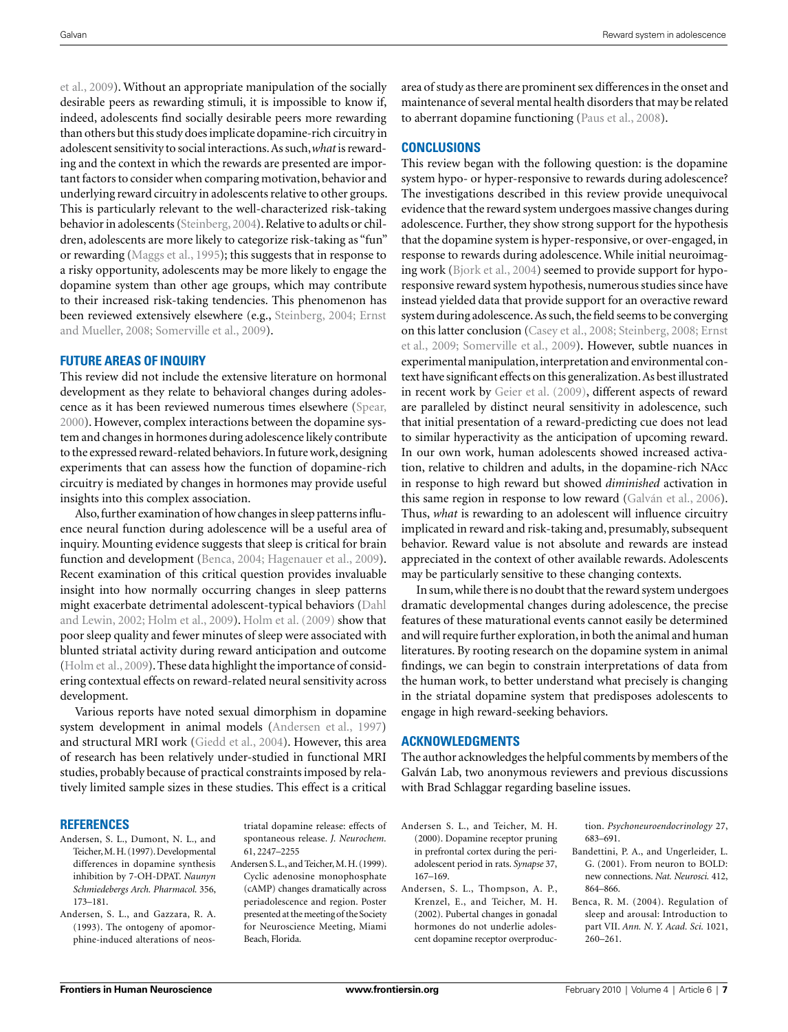et al., 2009). Without an appropriate manipulation of the socially desirable peers as rewarding stimuli, it is impossible to know if, indeed, adolescents find socially desirable peers more rewarding than others but this study does implicate dopamine-rich circuitry in adolescent sensitivity to social interactions. As such, *what* is rewarding and the context in which the rewards are presented are important factors to consider when comparing motivation, behavior and underlying reward circuitry in adolescents relative to other groups. This is particularly relevant to the well-characterized risk-taking behavior in adolescents (Steinberg, 2004). Relative to adults or children, adolescents are more likely to categorize risk-taking as "fun" or rewarding (Maggs et al., 1995); this suggests that in response to a risky opportunity, adolescents may be more likely to engage the dopamine system than other age groups, which may contribute to their increased risk-taking tendencies. This phenomenon has been reviewed extensively elsewhere (e.g., Steinberg, 2004; Ernst and Mueller, 2008; Somerville et al., 2009).

## **FUTURE AREAS OF INQUIRY**

This review did not include the extensive literature on hormonal development as they relate to behavioral changes during adolescence as it has been reviewed numerous times elsewhere (Spear, 2000). However, complex interactions between the dopamine system and changes in hormones during adolescence likely contribute to the expressed reward-related behaviors. In future work, designing experiments that can assess how the function of dopamine-rich circuitry is mediated by changes in hormones may provide useful insights into this complex association.

Also, further examination of how changes in sleep patterns influence neural function during adolescence will be a useful area of inquiry. Mounting evidence suggests that sleep is critical for brain function and development (Benca, 2004; Hagenauer et al., 2009). Recent examination of this critical question provides invaluable insight into how normally occurring changes in sleep patterns might exacerbate detrimental adolescent-typical behaviors (Dahl and Lewin, 2002; Holm et al., 2009). Holm et al. (2009) show that poor sleep quality and fewer minutes of sleep were associated with blunted striatal activity during reward anticipation and outcome (Holm et al., 2009). These data highlight the importance of considering contextual effects on reward-related neural sensitivity across development.

Various reports have noted sexual dimorphism in dopamine system development in animal models (Andersen et al., 1997) and structural MRI work (Giedd et al., 2004). However, this area of research has been relatively under-studied in functional MRI studies, probably because of practical constraints imposed by relatively limited sample sizes in these studies. This effect is a critical

#### **REFERENCES**

- Andersen, S. L., Dumont, N. L., and Teicher, M. H. (1997). Developmental differences in dopamine synthesis inhibition by 7-OH-DPAT. *Naunyn Schmiedebergs Arch. Pharmacol.* 356, 173–181.
- Andersen, S. L., and Gazzara, R. A. (1993). The ontogeny of apomorphine-induced alterations of neos-

triatal dopamine release: effects of spontaneous release. *J. Neurochem.*  61, 2247–2255

Andersen S. L., and Teicher, M. H. (1999). Cyclic adenosine monophosphate (cAMP) changes dramatically across periadolescence and region. Poster presented at the meeting of the Society for Neuroscience Meeting, Miami Beach, Florida.

area of study as there are prominent sex differences in the onset and maintenance of several mental health disorders that may be related to aberrant dopamine functioning (Paus et al., 2008).

# **CONCLUSIONS**

This review began with the following question: is the dopamine system hypo- or hyper-responsive to rewards during adolescence? The investigations described in this review provide unequivocal evidence that the reward system undergoes massive changes during adolescence. Further, they show strong support for the hypothesis that the dopamine system is hyper-responsive, or over-engaged, in response to rewards during adolescence. While initial neuroimaging work (Bjork et al., 2004) seemed to provide support for hyporesponsive reward system hypothesis, numerous studies since have instead yielded data that provide support for an overactive reward system during adolescence. As such, the field seems to be converging on this latter conclusion (Casey et al., 2008; Steinberg, 2008; Ernst et al., 2009; Somerville et al., 2009). However, subtle nuances in experimental manipulation, interpretation and environmental context have significant effects on this generalization. As best illustrated in recent work by Geier et al. (2009), different aspects of reward are paralleled by distinct neural sensitivity in adolescence, such that initial presentation of a reward-predicting cue does not lead to similar hyperactivity as the anticipation of upcoming reward. In our own work, human adolescents showed increased activation, relative to children and adults, in the dopamine-rich NAcc in response to high reward but showed *diminished* activation in this same region in response to low reward (Galván et al., 2006). Thus, *what* is rewarding to an adolescent will influence circuitry implicated in reward and risk-taking and, presumably, subsequent behavior. Reward value is not absolute and rewards are instead appreciated in the context of other available rewards. Adolescents may be particularly sensitive to these changing contexts.

In sum, while there is no doubt that the reward system undergoes dramatic developmental changes during adolescence, the precise features of these maturational events cannot easily be determined and will require further exploration, in both the animal and human literatures. By rooting research on the dopamine system in animal findings, we can begin to constrain interpretations of data from the human work, to better understand what precisely is changing in the striatal dopamine system that predisposes adolescents to engage in high reward-seeking behaviors.

#### **ACKNOWLEDGMENTS**

The author acknowledges the helpful comments by members of the Galván Lab, two anonymous reviewers and previous discussions with Brad Schlaggar regarding baseline issues.

- Andersen S. L., and Teicher, M. H. (2000). Dopamine receptor pruning in prefrontal cortex during the periadolescent period in rats. *Synapse* 37, 167–169.
- Andersen, S. L., Thompson, A. P., Krenzel, E., and Teicher, M. H. (2002). Pubertal changes in gonadal hormones do not underlie adolescent dopamine receptor overproduc-

tion. *Psychoneuroendocrinology* 27, 683–691.

- Bandettini, P. A., and Ungerleider, L. G. (2001). From neuron to BOLD: new connections. *Nat. Neurosci.* 412, 864–866.
- Benca, R. M. (2004). Regulation of sleep and arousal: Introduction to part VII. *Ann. N. Y. Acad. Sci.* 1021, 260–261.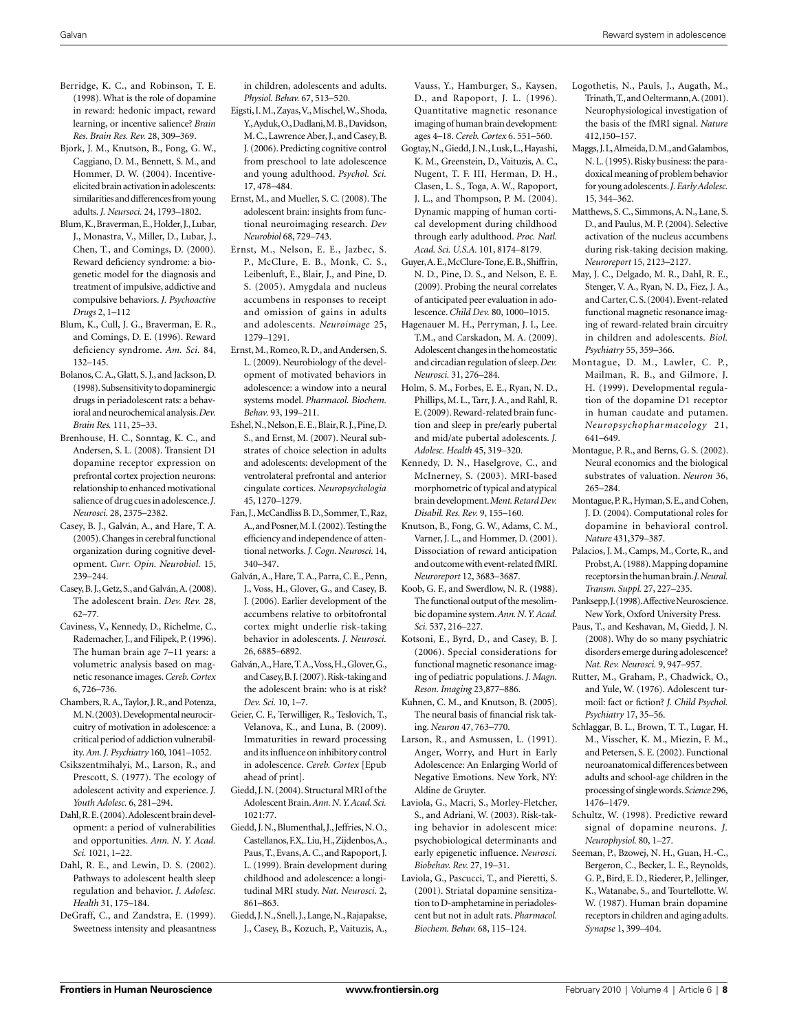*Res. Brain Res. Rev.* 28, 309–369. Bjork, J. M., Knutson, B., Fong, G. W., Caggiano, D. M., Bennett, S. M., and Hommer, D. W. (2004). Incentiveelicited brain activation in adolescents: similarities and differences from young adults. *J. Neursoci.* 24, 1793–1802.

- Blum, K., Braverman, E., Holder, J., Lubar, J., Monastra, V., Miller, D., Lubar, J., Chen, T., and Comings, D. (2000). Reward deficiency syndrome: a biogenetic model for the diagnosis and treatment of impulsive, addictive and compulsive behaviors. *J. Psychoactive Drugs* 2, 1–112
- Blum, K., Cull, J. G., Braverman, E. R., and Comings, D. E. (1996). Reward deficiency syndrome. *Am. Sci.* 84, 132–145.
- Bolanos, C. A., Glatt, S. J., and Jackson, D. (1998). Subsensitivity to dopaminergic drugs in periadolescent rats: a behavioral and neurochemical analysis. *Dev. Brain Res.* 111, 25–33.
- Brenhouse, H. C., Sonntag, K. C., and Andersen, S. L. (2008). Transient D1 dopamine receptor expression on prefrontal cortex projection neurons: relationship to enhanced motivational salience of drug cues in adolescence. *J. Neurosci.* 28, 2375–2382.
- Casey, B. J., Galván, A., and Hare, T. A. (2005). Changes in cerebral functional organization during cognitive development. *Curr. Opin. Neurobiol.* 15, 239–244.
- Casey, B. J., Getz, S., and Galván, A. (2008). The adolescent brain. *Dev. Rev.* 28, 62–77.
- Caviness, V., Kennedy, D., Richelme, C., Rademacher, J., and Filipek, P. (1996). The human brain age 7–11 years: a volumetric analysis based on magnetic resonance images. *Cereb. Cortex*  6, 726–736.
- Chambers, R. A., Taylor, J. R., and Potenza, M. N. (2003). Developmental neurocircuitry of motivation in adolescence: a critical period of addiction vulnerability. *Am. J. Psychiatry* 160, 1041–1052.
- Csikszentmihalyi, M., Larson, R., and Prescott, S. (1977). The ecology of adolescent activity and experience. *J. Youth Adolesc.* 6, 281–294.

Dahl, R. E. (2004). Adolescent brain development: a period of vulnerabilities and opportunities. *Ann. N. Y. Acad. Sci.* 1021, 1–22.

- Dahl, R. E., and Lewin, D. S. (2002). Pathways to adolescent health sleep regulation and behavior. *J. Adolesc. Health* 31, 175–184.
- DeGraff, C., and Zandstra, E. (1999). Sweetness intensity and pleasantness

in children, adolescents and adults. *Physiol. Behav.* 67, 513–520.

- Eigsti, I. M., Zayas, V., Mischel, W., Shoda, Y., Ayduk, O., Dadlani, M. B., Davidson, M. C., Lawrence Aber, J., and Casey, B. J. (2006). Predicting cognitive control from preschool to late adolescence and young adulthood. *Psychol. Sci.*  17, 478–484.
- Ernst, M., and Mueller, S. C. (2008). The adolescent brain: insights from functional neuroimaging research. *Dev Neurobiol* 68, 729–743.
- Ernst, M., Nelson, E. E., Jazbec, S. P., McClure, E. B., Monk, C. S., Leibenluft, E., Blair, J., and Pine, D. S. (2005). Amygdala and nucleus accumbens in responses to receipt and omission of gains in adults and adolescents. *Neuroimage* 25, 1279–1291.
- Ernst, M., Romeo, R. D., and Andersen, S. L. (2009). Neurobiology of the development of motivated behaviors in adolescence: a window into a neural systems model. *Pharmacol. Biochem. Behav.* 93, 199–211.
- Eshel, N., Nelson, E. E., Blair, R. J., Pine, D. S., and Ernst, M. (2007). Neural substrates of choice selection in adults and adolescents: development of the ventrolateral prefrontal and anterior cingulate cortices. *Neuropsychologia*  45, 1270–1279.
- Fan, J., McCandliss B. D., Sommer, T., Raz, A., and Posner, M. I. (2002). Testing the efficiency and independence of attentional networks. *J. Cogn. Neurosci.* 14, 340–347.
- Galván, A., Hare, T. A., Parra, C. E., Penn, J., Voss, H., Glover, G., and Casey, B. J. (2006). Earlier development of the accumbens relative to orbitofrontal cortex might underlie risk-taking behavior in adolescents. *J. Neurosci.*  26, 6885–6892.
- Galván, A., Hare, T. A., Voss, H., Glover, G., and Casey, B. J. (2007). Risk-taking and the adolescent brain: who is at risk? *Dev. Sci.* 10, 1–7.
- Geier, C. F., Terwilliger, R., Teslovich, T., Velanova, K., and Luna, B. (2009). Immaturities in reward processing and its influence on inhibitory control in adolescence. *Cereb. Cortex* [Epub ahead of print].
- Giedd, J. N. (2004). Structural MRI of the Adolescent Brain. *Ann. N. Y. Acad. Sci.* 1021:77.
- Giedd, J. N., Blumenthal, J., Jeffries, N. O., Castellanos, F.X,. Liu, H., Zijdenbos, A., Paus, T., Evans, A. C., and Rapoport, J. L. (1999). Brain development during childhood and adolescence: a longitudinal MRI study. *Nat. Neurosci.* 2, 861–863.
- Giedd, J. N., Snell, J., Lange, N., Rajapakse, J., Casey, B., Kozuch, P., Vaituzis, A.,

Vauss, Y., Hamburger, S., Kaysen, D., and Rapoport, J. L. (1996). Quantitative magnetic resonance imaging of human brain development: ages 4–18. *Cereb. Cortex* 6. 551–560.

- Gogtay, N., Giedd, J. N., Lusk, L., Hayashi, K. M., Greenstein, D., Vaituzis, A. C., Nugent, T. F. III, Herman, D. H., Clasen, L. S., Toga, A. W., Rapoport, J. L., and Thompson, P. M. (2004). Dynamic mapping of human cortical development during childhood through early adulthood. *Proc. Natl. Acad. Sci. U.S.A.* 101, 8174–8179.
- Guyer, A. E., McClure-Tone, E. B., Shiffrin, N. D., Pine, D. S., and Nelson, E. E. (2009). Probing the neural correlates of anticipated peer evaluation in adolescence. *Child Dev.* 80, 1000–1015.
- Hagenauer M. H., Perryman, J. I., Lee. T.M., and Carskadon, M. A. (2009). Adolescent changes in the homeostatic and circadian regulation of sleep. *Dev. Neurosci.* 31, 276–284.
- Holm, S. M., Forbes, E. E., Ryan, N. D., Phillips, M. L., Tarr, J. A., and Rahl, R. E. (2009). Reward-related brain function and sleep in pre/early pubertal and mid/ate pubertal adolescents. *J. Adolesc. Health* 45, 319–320.
- Kennedy, D. N., Haselgrove, C., and McInerney, S. (2003). MRI-based morphometric of typical and atypical brain development. *Ment. Retard Dev. Disabil. Res. Rev.* 9, 155–160.
- Knutson, B., Fong, G. W., Adams, C. M., Varner, J. L., and Hommer, D. (2001). Dissociation of reward anticipation and outcome with event-related fMRI. *Neuroreport* 12, 3683–3687.
- Koob, G. F., and Swerdlow, N. R. (1988). The functional output of the mesolimbic dopamine system. *Ann. N. Y. Acad. Sci.* 537, 216–227.
- Kotsoni, E., Byrd, D., and Casey, B. J. (2006). Special considerations for functional magnetic resonance imaging of pediatric populations. *J. Magn. Reson. Imaging* 23,877–886.
- Kuhnen, C. M., and Knutson, B. (2005). The neural basis of financial risk taking. *Neuron* 47, 763–770.
- Larson, R., and Asmussen, L. (1991). Anger, Worry, and Hurt in Early Adolescence: An Enlarging World of Negative Emotions. New York, NY: Aldine de Gruyter.
- Laviola, G., Macri, S., Morley-Fletcher, S., and Adriani, W. (2003). Risk-taking behavior in adolescent mice: psychobiological determinants and early epigenetic influence. Neurosci. *Biobehav. Rev.* 27, 19–31.
- Laviola, G., Pascucci, T., and Pieretti, S. (2001). Striatal dopamine sensitization to D-amphetamine in periadolescent but not in adult rats. *Pharmacol. Biochem. Behav.* 68, 115–124.
- Logothetis, N., Pauls, J., Augath, M., Trinath, T., and Oeltermann, A. (2001). Neurophysiological investigation of the basis of the fMRI signal. *Nature*  412,150–157.
- Maggs, J. L, Almeida, D. M., and Galambos, N. L. (1995). Risky business: the paradoxical meaning of problem behavior for young adolescents. *J. Early Adolesc.*  15, 344–362.
- Matthews, S.C., Simmons, A. N., Lane, S. D., and Paulus, M. P. (2004). Selective activation of the nucleus accumbens during risk-taking decision making. *Neuroreport* 15, 2123–2127.
- May, J. C., Delgado, M. R., Dahl, R. E., Stenger, V. A., Ryan, N. D., Fiez, J. A., and Carter, C. S. (2004). Event-related functional magnetic resonance imaging of reward-related brain circuitry in children and adolescents. *Biol. Psychiatry* 55, 359–366.
- Montague, D. M., Lawler, C. P., Mailman, R. B., and Gilmore, J. H. (1999). Developmental regulation of the dopamine D1 receptor in human caudate and putamen. *Neuropsychopharmacology* 21, 641–649.
- Montague, P. R., and Berns, G. S. (2002). Neural economics and the biological substrates of valuation. *Neuron* 36, 265–284.
- Montague, P. R., Hyman, S. E., and Cohen, J. D. (2004). Computational roles for dopamine in behavioral control. *Nature* 431,379–387.
- Palacios, J. M., Camps, M., Corte, R., and Probst, A. (1988). Mapping dopamine receptors in the human brain. *J. Neural. Transm. Suppl.* 27, 227–235.
- Panksepp, J. (1998). Affective Neuroscience. New York, Oxford University Press.
- Paus, T., and Keshavan, M, Giedd, J. N. (2008). Why do so many psychiatric disorders emerge during adolescence? *Nat. Rev. Neurosci.* 9, 947–957.
- Rutter, M., Graham, P., Chadwick, O., and Yule, W. (1976). Adolescent turmoil: fact or fiction? *J. Child Psychol. Psychiatry* 17, 35–56.
- Schlaggar, B. L., Brown, T. T., Lugar, H. M., Visscher, K. M., Miezin, F. M., and Petersen, S. E. (2002). Functional neuroanatomical differences between adults and school-age children in the processing of single words. *Science* 296, 1476–1479.
- Schultz, W. (1998). Predictive reward signal of dopamine neurons. *J. Neurophysiol.* 80, 1–27.
- Seeman, P., Bzowej, N. H., Guan, H.-C., Bergeron, C., Becker, L. E., Reynolds, G. P., Bird, E. D., Riederer, P., Jellinger, K., Watanabe, S., and Tourtellotte. W. W. (1987). Human brain dopamine receptors in children and aging adults. *Synapse* 1, 399–404.